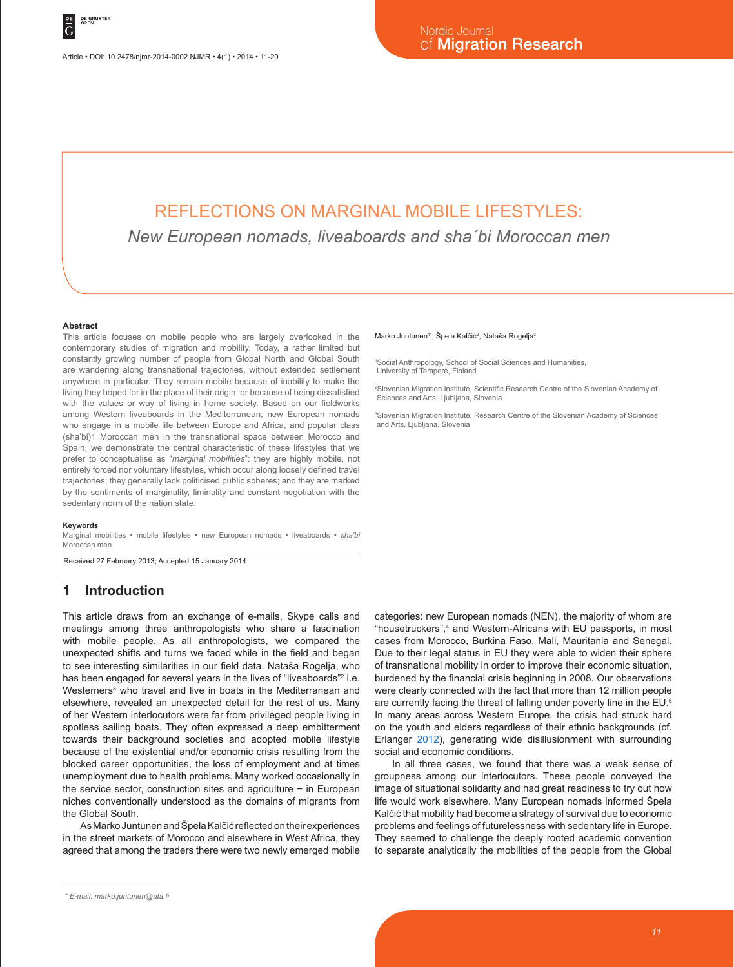# REFLECTIONS ON MARGINAL MOBILE LIFESTYLES:

*New European nomads, liveaboards and sha´bi Moroccan men*

#### **Abstract**

This article focuses on mobile people who are largely overlooked in the contemporary studies of migration and mobility. Today, a rather limited but constantly growing number of people from Global North and Global South are wandering along transnational trajectories, without extended settlement anywhere in particular. They remain mobile because of inability to make the living they hoped for in the place of their origin, or because of being dissatisfied with the values or way of living in home society. Based on our fieldworks among Western liveaboards in the Mediterranean, new European nomads who engage in a mobile life between Europe and Africa, and popular class (sha'bi)1 Moroccan men in the transnational space between Morocco and Spain, we demonstrate the central characteristic of these lifestyles that we prefer to conceptualise as "*marginal mobilities*": they are highly mobile, not entirely forced nor voluntary lifestyles, which occur along loosely defined travel trajectories; they generally lack politicised public spheres; and they are marked by the sentiments of marginality, liminality and constant negotiation with the sedentary norm of the nation state.

#### **Keywords**

Marginal mobilities • mobile lifestyles • new European nomads • liveaboards • *sha'bi*  Moroccan men

Received 27 February 2013; Accepted 15 January 2014

# **1 Introduction**

This article draws from an exchange of e-mails, Skype calls and meetings among three anthropologists who share a fascination with mobile people. As all anthropologists, we compared the unexpected shifts and turns we faced while in the field and began to see interesting similarities in our field data. Nataša Rogelja, who has been engaged for several years in the lives of "liveaboards"<sup>2</sup> i.e. Westerners<sup>3</sup> who travel and live in boats in the Mediterranean and elsewhere, revealed an unexpected detail for the rest of us. Many of her Western interlocutors were far from privileged people living in spotless sailing boats. They often expressed a deep embitterment towards their background societies and adopted mobile lifestyle because of the existential and/or economic crisis resulting from the blocked career opportunities, the loss of employment and at times unemployment due to health problems. Many worked occasionally in the service sector, construction sites and agriculture − in European niches conventionally understood as the domains of migrants from the Global South.

As Marko Juntunen and Špela Kalčić reflected on their experiences in the street markets of Morocco and elsewhere in West Africa, they agreed that among the traders there were two newly emerged mobile

#### Marko Juntunen<sup>1\*</sup>, Spela Kalčić<sup>2</sup>, Nataša Rogelja<sup>3</sup>

1 Social Anthropology, School of Social Sciences and Humanities, University of Tampere, Finland

2 Slovenian Migration Institute, Scientific Research Centre of the Slovenian Academy of Sciences and Arts, Ljubljana, Slovenia

3 Slovenian Migration Institute, Research Centre of the Slovenian Academy of Sciences and Arts, Ljubljana, Slovenia

categories: new European nomads (NEN), the majority of whom are "housetruckers",<sup>4</sup> and Western-Africans with EU passports, in most cases from Morocco, Burkina Faso, Mali, Mauritania and Senegal. Due to their legal status in EU they were able to widen their sphere of transnational mobility in order to improve their economic situation, burdened by the financial crisis beginning in 2008. Our observations were clearly connected with the fact that more than 12 million people are currently facing the threat of falling under poverty line in the EU.<sup>5</sup> In many areas across Western Europe, the crisis had struck hard on the youth and elders regardless of their ethnic backgrounds (cf. Erlanger 2012), generating wide disillusionment with surrounding social and economic conditions.

In all three cases, we found that there was a weak sense of groupness among our interlocutors. These people conveyed the image of situational solidarity and had great readiness to try out how life would work elsewhere. Many European nomads informed Špela Kalčić that mobility had become a strategy of survival due to economic problems and feelings of futurelessness with sedentary life in Europe. They seemed to challenge the deeply rooted academic convention to separate analytically the mobilities of the people from the Global

*<sup>\*</sup> E-mail: marko.juntunen@uta.fi*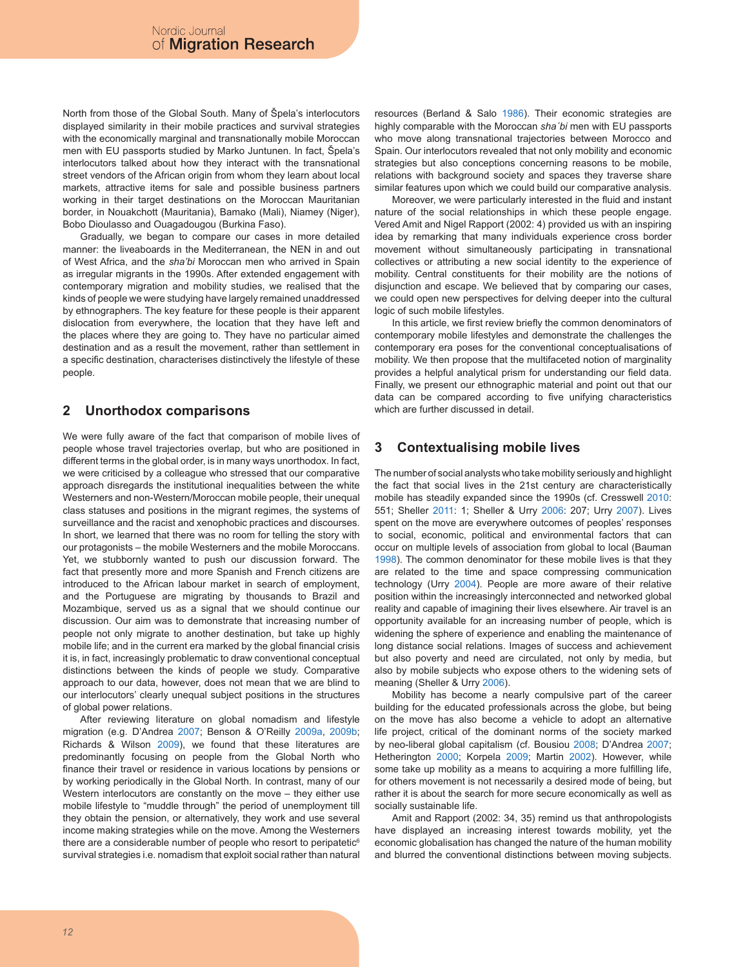North from those of the Global South. Many of Špela's interlocutors displayed similarity in their mobile practices and survival strategies with the economically marginal and transnationally mobile Moroccan men with EU passports studied by Marko Juntunen. In fact, Špela's interlocutors talked about how they interact with the transnational street vendors of the African origin from whom they learn about local markets, attractive items for sale and possible business partners working in their target destinations on the Moroccan Mauritanian border, in Nouakchott (Mauritania), Bamako (Mali), Niamey (Niger), Bobo Dioulasso and Ouagadougou (Burkina Faso).

Gradually, we began to compare our cases in more detailed manner: the liveaboards in the Mediterranean, the NEN in and out of West Africa, and the *sha'bi* Moroccan men who arrived in Spain as irregular migrants in the 1990s. After extended engagement with contemporary migration and mobility studies, we realised that the kinds of people we were studying have largely remained unaddressed by ethnographers. The key feature for these people is their apparent dislocation from everywhere, the location that they have left and the places where they are going to. They have no particular aimed destination and as a result the movement, rather than settlement in a specific destination, characterises distinctively the lifestyle of these people.

# **2 Unorthodox comparisons**

We were fully aware of the fact that comparison of mobile lives of people whose travel trajectories overlap, but who are positioned in different terms in the global order, is in many ways unorthodox. In fact, we were criticised by a colleague who stressed that our comparative approach disregards the institutional inequalities between the white Westerners and non-Western/Moroccan mobile people, their unequal class statuses and positions in the migrant regimes, the systems of surveillance and the racist and xenophobic practices and discourses. In short, we learned that there was no room for telling the story with our protagonists – the mobile Westerners and the mobile Moroccans. Yet, we stubbornly wanted to push our discussion forward. The fact that presently more and more Spanish and French citizens are introduced to the African labour market in search of employment, and the Portuguese are migrating by thousands to Brazil and Mozambique, served us as a signal that we should continue our discussion. Our aim was to demonstrate that increasing number of people not only migrate to another destination, but take up highly mobile life; and in the current era marked by the global financial crisis it is, in fact, increasingly problematic to draw conventional conceptual distinctions between the kinds of people we study. Comparative approach to our data, however, does not mean that we are blind to our interlocutors' clearly unequal subject positions in the structures of global power relations.

After reviewing literature on global nomadism and lifestyle migration (e.g. D'Andrea 2007; Benson & O'Reilly 2009a, 2009b; Richards & Wilson 2009), we found that these literatures are predominantly focusing on people from the Global North who finance their travel or residence in various locations by pensions or by working periodically in the Global North. In contrast, many of our Western interlocutors are constantly on the move – they either use mobile lifestyle to "muddle through" the period of unemployment till they obtain the pension, or alternatively, they work and use several income making strategies while on the move. Among the Westerners there are a considerable number of people who resort to peripatetic<sup>6</sup> survival strategies i.e. nomadism that exploit social rather than natural resources (Berland & Salo 1986). Their economic strategies are highly comparable with the Moroccan *sha´bi* men with EU passports who move along transnational trajectories between Morocco and Spain. Our interlocutors revealed that not only mobility and economic strategies but also conceptions concerning reasons to be mobile, relations with background society and spaces they traverse share similar features upon which we could build our comparative analysis.

Moreover, we were particularly interested in the fluid and instant nature of the social relationships in which these people engage. Vered Amit and Nigel Rapport (2002: 4) provided us with an inspiring idea by remarking that many individuals experience cross border movement without simultaneously participating in transnational collectives or attributing a new social identity to the experience of mobility. Central constituents for their mobility are the notions of disjunction and escape. We believed that by comparing our cases, we could open new perspectives for delving deeper into the cultural logic of such mobile lifestyles.

In this article, we first review briefly the common denominators of contemporary mobile lifestyles and demonstrate the challenges the contemporary era poses for the conventional conceptualisations of mobility. We then propose that the multifaceted notion of marginality provides a helpful analytical prism for understanding our field data. Finally, we present our ethnographic material and point out that our data can be compared according to five unifying characteristics which are further discussed in detail.

# **3 Contextualising mobile lives**

The number of social analysts who take mobility seriously and highlight the fact that social lives in the 21st century are characteristically mobile has steadily expanded since the 1990s (cf. Cresswell 2010: 551; Sheller 2011: 1; Sheller & Urry 2006: 207; Urry 2007). Lives spent on the move are everywhere outcomes of peoples' responses to social, economic, political and environmental factors that can occur on multiple levels of association from global to local (Bauman 1998). The common denominator for these mobile lives is that they are related to the time and space compressing communication technology (Urry 2004). People are more aware of their relative position within the increasingly interconnected and networked global reality and capable of imagining their lives elsewhere. Air travel is an opportunity available for an increasing number of people, which is widening the sphere of experience and enabling the maintenance of long distance social relations. Images of success and achievement but also poverty and need are circulated, not only by media, but also by mobile subjects who expose others to the widening sets of meaning (Sheller & Urry 2006).

Mobility has become a nearly compulsive part of the career building for the educated professionals across the globe, but being on the move has also become a vehicle to adopt an alternative life project, critical of the dominant norms of the society marked by neo-liberal global capitalism (cf. Bousiou 2008; D'Andrea 2007; Hetherington 2000; Korpela 2009; Martin 2002). However, while some take up mobility as a means to acquiring a more fulfilling life, for others movement is not necessarily a desired mode of being, but rather it is about the search for more secure economically as well as socially sustainable life.

Amit and Rapport (2002: 34, 35) remind us that anthropologists have displayed an increasing interest towards mobility, yet the economic globalisation has changed the nature of the human mobility and blurred the conventional distinctions between moving subjects.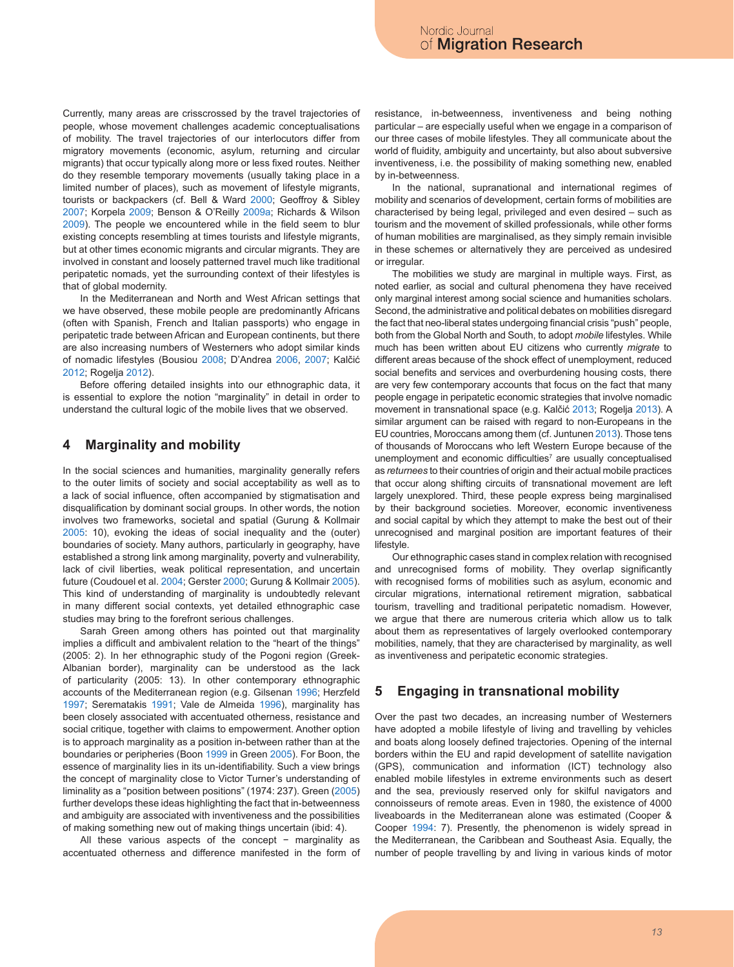Currently, many areas are crisscrossed by the travel trajectories of people, whose movement challenges academic conceptualisations of mobility. The travel trajectories of our interlocutors differ from migratory movements (economic, asylum, returning and circular migrants) that occur typically along more or less fixed routes. Neither do they resemble temporary movements (usually taking place in a limited number of places), such as movement of lifestyle migrants, tourists or backpackers (cf. Bell & Ward 2000; Geoffroy & Sibley 2007; Korpela 2009; Benson & O'Reilly 2009a; Richards & Wilson 2009). The people we encountered while in the field seem to blur existing concepts resembling at times tourists and lifestyle migrants, but at other times economic migrants and circular migrants. They are involved in constant and loosely patterned travel much like traditional peripatetic nomads, yet the surrounding context of their lifestyles is that of global modernity.

In the Mediterranean and North and West African settings that we have observed, these mobile people are predominantly Africans (often with Spanish, French and Italian passports) who engage in peripatetic trade between African and European continents, but there are also increasing numbers of Westerners who adopt similar kinds of nomadic lifestyles (Bousiou 2008; D'Andrea 2006, 2007; Kalčić 2012; Rogelja 2012).

Before offering detailed insights into our ethnographic data, it is essential to explore the notion "marginality" in detail in order to understand the cultural logic of the mobile lives that we observed.

## **4 Marginality and mobility**

In the social sciences and humanities, marginality generally refers to the outer limits of society and social acceptability as well as to a lack of social influence, often accompanied by stigmatisation and disqualification by dominant social groups. In other words, the notion involves two frameworks, societal and spatial (Gurung & Kollmair 2005: 10), evoking the ideas of social inequality and the (outer) boundaries of society. Many authors, particularly in geography, have established a strong link among marginality, poverty and vulnerability, lack of civil liberties, weak political representation, and uncertain future (Coudouel et al. 2004; Gerster 2000; Gurung & Kollmair 2005). This kind of understanding of marginality is undoubtedly relevant in many different social contexts, yet detailed ethnographic case studies may bring to the forefront serious challenges.

Sarah Green among others has pointed out that marginality implies a difficult and ambivalent relation to the "heart of the things" (2005: 2). In her ethnographic study of the Pogoni region (Greek-Albanian border), marginality can be understood as the lack of particularity (2005: 13). In other contemporary ethnographic accounts of the Mediterranean region (e.g. Gilsenan 1996; Herzfeld 1997; Serematakis 1991; Vale de Almeida 1996), marginality has been closely associated with accentuated otherness, resistance and social critique, together with claims to empowerment. Another option is to approach marginality as a position in-between rather than at the boundaries or peripheries (Boon 1999 in Green 2005). For Boon, the essence of marginality lies in its un-identifiability. Such a view brings the concept of marginality close to Victor Turner's understanding of liminality as a "position between positions" (1974: 237). Green (2005) further develops these ideas highlighting the fact that in-betweenness and ambiguity are associated with inventiveness and the possibilities of making something new out of making things uncertain (ibid: 4).

All these various aspects of the concept − marginality as accentuated otherness and difference manifested in the form of resistance, in-betweenness, inventiveness and being nothing particular – are especially useful when we engage in a comparison of our three cases of mobile lifestyles. They all communicate about the world of fluidity, ambiguity and uncertainty, but also about subversive inventiveness, i.e. the possibility of making something new, enabled by in-betweenness.

In the national, supranational and international regimes of mobility and scenarios of development, certain forms of mobilities are characterised by being legal, privileged and even desired – such as tourism and the movement of skilled professionals, while other forms of human mobilities are marginalised, as they simply remain invisible in these schemes or alternatively they are perceived as undesired or irregular.

The mobilities we study are marginal in multiple ways. First, as noted earlier, as social and cultural phenomena they have received only marginal interest among social science and humanities scholars. Second, the administrative and political debates on mobilities disregard the fact that neo-liberal states undergoing financial crisis "push" people, both from the Global North and South, to adopt *mobile* lifestyles. While much has been written about EU citizens who currently *migrate* to different areas because of the shock effect of unemployment, reduced social benefits and services and overburdening housing costs, there are very few contemporary accounts that focus on the fact that many people engage in peripatetic economic strategies that involve nomadic movement in transnational space (e.g. Kalčić 2013; Rogelja 2013). A similar argument can be raised with regard to non-Europeans in the EU countries, Moroccans among them (cf. Juntunen 2013). Those tens of thousands of Moroccans who left Western Europe because of the unemployment and economic difficulties<sup>7</sup> are usually conceptualised as *returnees* to their countries of origin and their actual mobile practices that occur along shifting circuits of transnational movement are left largely unexplored. Third, these people express being marginalised by their background societies. Moreover, economic inventiveness and social capital by which they attempt to make the best out of their unrecognised and marginal position are important features of their lifestyle.

Our ethnographic cases stand in complex relation with recognised and unrecognised forms of mobility. They overlap significantly with recognised forms of mobilities such as asylum, economic and circular migrations, international retirement migration, sabbatical tourism, travelling and traditional peripatetic nomadism. However, we argue that there are numerous criteria which allow us to talk about them as representatives of largely overlooked contemporary mobilities, namely, that they are characterised by marginality, as well as inventiveness and peripatetic economic strategies.

# **5 Engaging in transnational mobility**

Over the past two decades, an increasing number of Westerners have adopted a mobile lifestyle of living and travelling by vehicles and boats along loosely defined trajectories. Opening of the internal borders within the EU and rapid development of satellite navigation (GPS), communication and information (ICT) technology also enabled mobile lifestyles in extreme environments such as desert and the sea, previously reserved only for skilful navigators and connoisseurs of remote areas. Even in 1980, the existence of 4000 liveaboards in the Mediterranean alone was estimated (Cooper & Cooper 1994: 7). Presently, the phenomenon is widely spread in the Mediterranean, the Caribbean and Southeast Asia. Equally, the number of people travelling by and living in various kinds of motor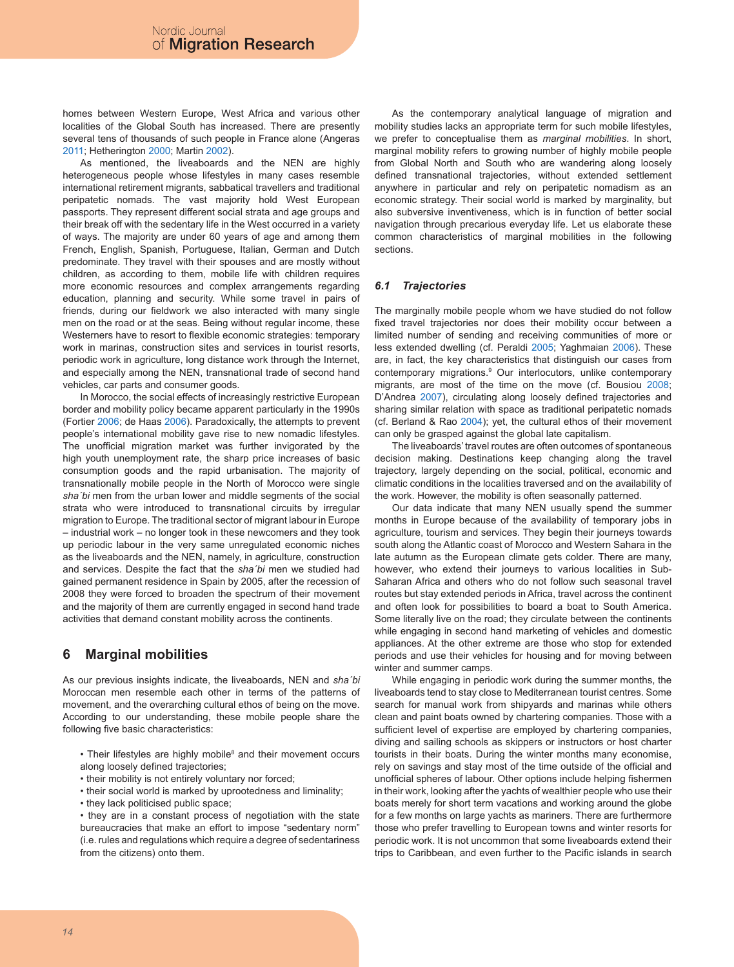homes between Western Europe, West Africa and various other localities of the Global South has increased. There are presently several tens of thousands of such people in France alone (Angeras 2011; Hetherington 2000; Martin 2002).

As mentioned, the liveaboards and the NEN are highly heterogeneous people whose lifestyles in many cases resemble international retirement migrants, sabbatical travellers and traditional peripatetic nomads. The vast majority hold West European passports. They represent different social strata and age groups and their break off with the sedentary life in the West occurred in a variety of ways. The majority are under 60 years of age and among them French, English, Spanish, Portuguese, Italian, German and Dutch predominate. They travel with their spouses and are mostly without children, as according to them, mobile life with children requires more economic resources and complex arrangements regarding education, planning and security. While some travel in pairs of friends, during our fieldwork we also interacted with many single men on the road or at the seas. Being without regular income, these Westerners have to resort to flexible economic strategies: temporary work in marinas, construction sites and services in tourist resorts, periodic work in agriculture, long distance work through the Internet, and especially among the NEN, transnational trade of second hand vehicles, car parts and consumer goods.

In Morocco, the social effects of increasingly restrictive European border and mobility policy became apparent particularly in the 1990s (Fortier 2006; de Haas 2006). Paradoxically, the attempts to prevent people's international mobility gave rise to new nomadic lifestyles. The unofficial migration market was further invigorated by the high youth unemployment rate, the sharp price increases of basic consumption goods and the rapid urbanisation. The majority of transnationally mobile people in the North of Morocco were single *sha´bi* men from the urban lower and middle segments of the social strata who were introduced to transnational circuits by irregular migration to Europe. The traditional sector of migrant labour in Europe – industrial work – no longer took in these newcomers and they took up periodic labour in the very same unregulated economic niches as the liveaboards and the NEN, namely, in agriculture, construction and services. Despite the fact that the *sha´bi* men we studied had gained permanent residence in Spain by 2005, after the recession of 2008 they were forced to broaden the spectrum of their movement and the majority of them are currently engaged in second hand trade activities that demand constant mobility across the continents.

# **6 Marginal mobilities**

As our previous insights indicate, the liveaboards, NEN and *sha´bi* Moroccan men resemble each other in terms of the patterns of movement, and the overarching cultural ethos of being on the move. According to our understanding, these mobile people share the following five basic characteristics:

- Their lifestyles are highly mobile<sup>8</sup> and their movement occurs along loosely defined trajectories;
- their mobility is not entirely voluntary nor forced;
- their social world is marked by uprootedness and liminality;
- they lack politicised public space;

• they are in a constant process of negotiation with the state bureaucracies that make an effort to impose "sedentary norm" (i.e. rules and regulations which require a degree of sedentariness from the citizens) onto them.

As the contemporary analytical language of migration and mobility studies lacks an appropriate term for such mobile lifestyles, we prefer to conceptualise them as *marginal mobilities*. In short, marginal mobility refers to growing number of highly mobile people from Global North and South who are wandering along loosely defined transnational trajectories, without extended settlement anywhere in particular and rely on peripatetic nomadism as an economic strategy. Their social world is marked by marginality, but also subversive inventiveness, which is in function of better social navigation through precarious everyday life. Let us elaborate these common characteristics of marginal mobilities in the following sections.

### *6.1 Trajectories*

The marginally mobile people whom we have studied do not follow fixed travel trajectories nor does their mobility occur between a limited number of sending and receiving communities of more or less extended dwelling (cf. Peraldi 2005; Yaghmaian 2006). These are, in fact, the key characteristics that distinguish our cases from contemporary migrations.9 Our interlocutors, unlike contemporary migrants, are most of the time on the move (cf. Bousiou 2008; D'Andrea 2007), circulating along loosely defined trajectories and sharing similar relation with space as traditional peripatetic nomads (cf. Berland & Rao 2004); yet, the cultural ethos of their movement can only be grasped against the global late capitalism.

The liveaboards' travel routes are often outcomes of spontaneous decision making. Destinations keep changing along the travel trajectory, largely depending on the social, political, economic and climatic conditions in the localities traversed and on the availability of the work. However, the mobility is often seasonally patterned.

Our data indicate that many NEN usually spend the summer months in Europe because of the availability of temporary jobs in agriculture, tourism and services. They begin their journeys towards south along the Atlantic coast of Morocco and Western Sahara in the late autumn as the European climate gets colder. There are many, however, who extend their journeys to various localities in Sub-Saharan Africa and others who do not follow such seasonal travel routes but stay extended periods in Africa, travel across the continent and often look for possibilities to board a boat to South America. Some literally live on the road; they circulate between the continents while engaging in second hand marketing of vehicles and domestic appliances. At the other extreme are those who stop for extended periods and use their vehicles for housing and for moving between winter and summer camps.

While engaging in periodic work during the summer months, the liveaboards tend to stay close to Mediterranean tourist centres. Some search for manual work from shipyards and marinas while others clean and paint boats owned by chartering companies. Those with a sufficient level of expertise are employed by chartering companies, diving and sailing schools as skippers or instructors or host charter tourists in their boats. During the winter months many economise, rely on savings and stay most of the time outside of the official and unofficial spheres of labour. Other options include helping fishermen in their work, looking after the yachts of wealthier people who use their boats merely for short term vacations and working around the globe for a few months on large yachts as mariners. There are furthermore those who prefer travelling to European towns and winter resorts for periodic work. It is not uncommon that some liveaboards extend their trips to Caribbean, and even further to the Pacific islands in search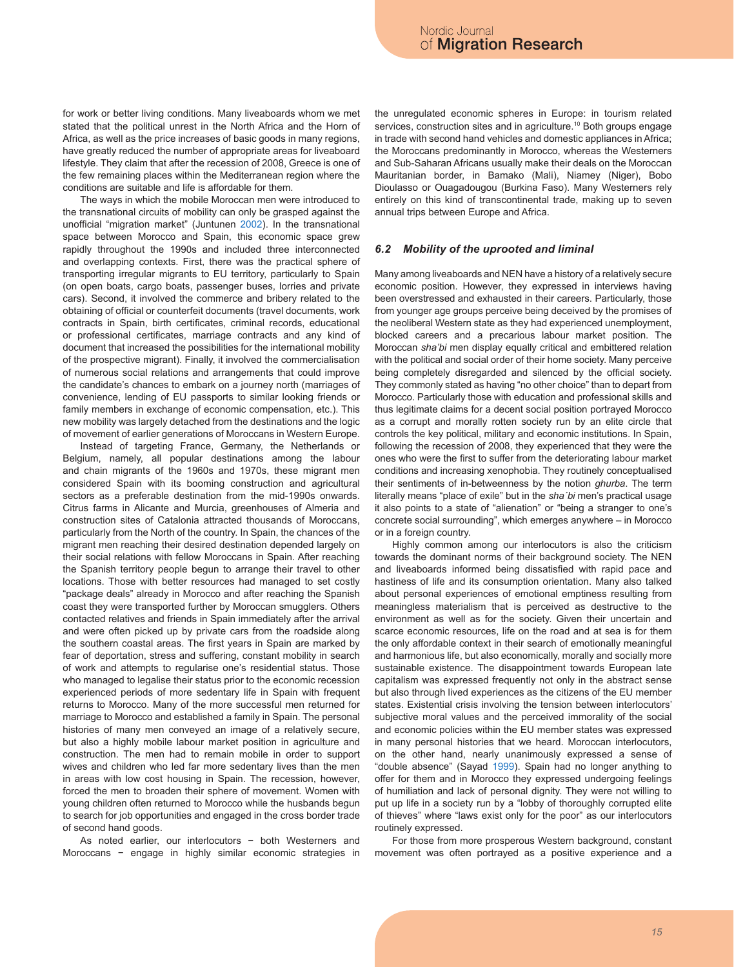for work or better living conditions. Many liveaboards whom we met stated that the political unrest in the North Africa and the Horn of Africa, as well as the price increases of basic goods in many regions, have greatly reduced the number of appropriate areas for liveaboard lifestyle. They claim that after the recession of 2008, Greece is one of the few remaining places within the Mediterranean region where the conditions are suitable and life is affordable for them.

The ways in which the mobile Moroccan men were introduced to the transnational circuits of mobility can only be grasped against the unofficial "migration market" (Juntunen 2002). In the transnational space between Morocco and Spain, this economic space grew rapidly throughout the 1990s and included three interconnected and overlapping contexts. First, there was the practical sphere of transporting irregular migrants to EU territory, particularly to Spain (on open boats, cargo boats, passenger buses, lorries and private cars). Second, it involved the commerce and bribery related to the obtaining of official or counterfeit documents (travel documents, work contracts in Spain, birth certificates, criminal records, educational or professional certificates, marriage contracts and any kind of document that increased the possibilities for the international mobility of the prospective migrant). Finally, it involved the commercialisation of numerous social relations and arrangements that could improve the candidate's chances to embark on a journey north (marriages of convenience, lending of EU passports to similar looking friends or family members in exchange of economic compensation, etc.). This new mobility was largely detached from the destinations and the logic of movement of earlier generations of Moroccans in Western Europe.

Instead of targeting France, Germany, the Netherlands or Belgium, namely, all popular destinations among the labour and chain migrants of the 1960s and 1970s, these migrant men considered Spain with its booming construction and agricultural sectors as a preferable destination from the mid-1990s onwards. Citrus farms in Alicante and Murcia, greenhouses of Almeria and construction sites of Catalonia attracted thousands of Moroccans, particularly from the North of the country. In Spain, the chances of the migrant men reaching their desired destination depended largely on their social relations with fellow Moroccans in Spain. After reaching the Spanish territory people begun to arrange their travel to other locations. Those with better resources had managed to set costly "package deals" already in Morocco and after reaching the Spanish coast they were transported further by Moroccan smugglers. Others contacted relatives and friends in Spain immediately after the arrival and were often picked up by private cars from the roadside along the southern coastal areas. The first years in Spain are marked by fear of deportation, stress and suffering, constant mobility in search of work and attempts to regularise one's residential status. Those who managed to legalise their status prior to the economic recession experienced periods of more sedentary life in Spain with frequent returns to Morocco. Many of the more successful men returned for marriage to Morocco and established a family in Spain. The personal histories of many men conveyed an image of a relatively secure, but also a highly mobile labour market position in agriculture and construction. The men had to remain mobile in order to support wives and children who led far more sedentary lives than the men in areas with low cost housing in Spain. The recession, however, forced the men to broaden their sphere of movement. Women with young children often returned to Morocco while the husbands begun to search for job opportunities and engaged in the cross border trade of second hand goods.

As noted earlier, our interlocutors − both Westerners and Moroccans − engage in highly similar economic strategies in the unregulated economic spheres in Europe: in tourism related services, construction sites and in agriculture.<sup>10</sup> Both groups engage in trade with second hand vehicles and domestic appliances in Africa; the Moroccans predominantly in Morocco, whereas the Westerners and Sub-Saharan Africans usually make their deals on the Moroccan Mauritanian border, in Bamako (Mali), Niamey (Niger), Bobo Dioulasso or Ouagadougou (Burkina Faso). Many Westerners rely entirely on this kind of transcontinental trade, making up to seven annual trips between Europe and Africa.

### *6.2 Mobility of the uprooted and liminal*

Many among liveaboards and NEN have a history of a relatively secure economic position. However, they expressed in interviews having been overstressed and exhausted in their careers. Particularly, those from younger age groups perceive being deceived by the promises of the neoliberal Western state as they had experienced unemployment, blocked careers and a precarious labour market position. The Moroccan *sha'bi* men display equally critical and embittered relation with the political and social order of their home society. Many perceive being completely disregarded and silenced by the official society. They commonly stated as having "no other choice" than to depart from Morocco. Particularly those with education and professional skills and thus legitimate claims for a decent social position portrayed Morocco as a corrupt and morally rotten society run by an elite circle that controls the key political, military and economic institutions. In Spain, following the recession of 2008, they experienced that they were the ones who were the first to suffer from the deteriorating labour market conditions and increasing xenophobia. They routinely conceptualised their sentiments of in-betweenness by the notion *ghurba*. The term literally means "place of exile" but in the *sha´bi* men's practical usage it also points to a state of "alienation" or "being a stranger to one's concrete social surrounding", which emerges anywhere – in Morocco or in a foreign country.

Highly common among our interlocutors is also the criticism towards the dominant norms of their background society. The NEN and liveaboards informed being dissatisfied with rapid pace and hastiness of life and its consumption orientation. Many also talked about personal experiences of emotional emptiness resulting from meaningless materialism that is perceived as destructive to the environment as well as for the society. Given their uncertain and scarce economic resources, life on the road and at sea is for them the only affordable context in their search of emotionally meaningful and harmonious life, but also economically, morally and socially more sustainable existence. The disappointment towards European late capitalism was expressed frequently not only in the abstract sense but also through lived experiences as the citizens of the EU member states. Existential crisis involving the tension between interlocutors' subjective moral values and the perceived immorality of the social and economic policies within the EU member states was expressed in many personal histories that we heard. Moroccan interlocutors, on the other hand, nearly unanimously expressed a sense of "double absence" (Sayad 1999). Spain had no longer anything to offer for them and in Morocco they expressed undergoing feelings of humiliation and lack of personal dignity. They were not willing to put up life in a society run by a "lobby of thoroughly corrupted elite of thieves" where "laws exist only for the poor" as our interlocutors routinely expressed.

For those from more prosperous Western background, constant movement was often portrayed as a positive experience and a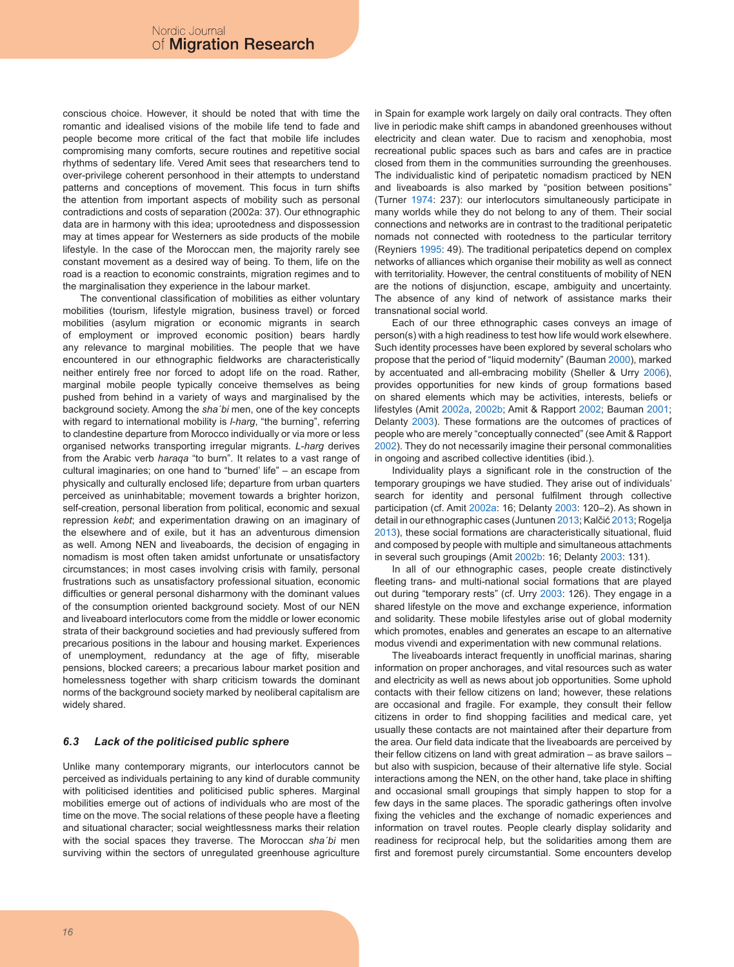conscious choice. However, it should be noted that with time the romantic and idealised visions of the mobile life tend to fade and people become more critical of the fact that mobile life includes compromising many comforts, secure routines and repetitive social rhythms of sedentary life. Vered Amit sees that researchers tend to over-privilege coherent personhood in their attempts to understand patterns and conceptions of movement. This focus in turn shifts the attention from important aspects of mobility such as personal contradictions and costs of separation (2002a: 37). Our ethnographic data are in harmony with this idea; uprootedness and dispossession may at times appear for Westerners as side products of the mobile lifestyle. In the case of the Moroccan men, the majority rarely see constant movement as a desired way of being. To them, life on the road is a reaction to economic constraints, migration regimes and to the marginalisation they experience in the labour market.

The conventional classification of mobilities as either voluntary mobilities (tourism, lifestyle migration, business travel) or forced mobilities (asylum migration or economic migrants in search of employment or improved economic position) bears hardly any relevance to marginal mobilities. The people that we have encountered in our ethnographic fieldworks are characteristically neither entirely free nor forced to adopt life on the road. Rather, marginal mobile people typically conceive themselves as being pushed from behind in a variety of ways and marginalised by the background society. Among the *sha´bi* men, one of the key concepts with regard to international mobility is *l-harg*, "the burning", referring to clandestine departure from Morocco individually or via more or less organised networks transporting irregular migrants. *L-harg* derives from the Arabic verb *haraqa* "to burn". It relates to a vast range of cultural imaginaries; on one hand to "burned' life" – an escape from physically and culturally enclosed life; departure from urban quarters perceived as uninhabitable; movement towards a brighter horizon, self-creation, personal liberation from political, economic and sexual repression *kebt*; and experimentation drawing on an imaginary of the elsewhere and of exile, but it has an adventurous dimension as well. Among NEN and liveaboards, the decision of engaging in nomadism is most often taken amidst unfortunate or unsatisfactory circumstances; in most cases involving crisis with family, personal frustrations such as unsatisfactory professional situation, economic difficulties or general personal disharmony with the dominant values of the consumption oriented background society. Most of our NEN and liveaboard interlocutors come from the middle or lower economic strata of their background societies and had previously suffered from precarious positions in the labour and housing market. Experiences of unemployment, redundancy at the age of fifty, miserable pensions, blocked careers; a precarious labour market position and homelessness together with sharp criticism towards the dominant norms of the background society marked by neoliberal capitalism are widely shared.

### *6.3 Lack of the politicised public sphere*

Unlike many contemporary migrants, our interlocutors cannot be perceived as individuals pertaining to any kind of durable community with politicised identities and politicised public spheres. Marginal mobilities emerge out of actions of individuals who are most of the time on the move. The social relations of these people have a fleeting and situational character; social weightlessness marks their relation with the social spaces they traverse. The Moroccan *sha´bi* men surviving within the sectors of unregulated greenhouse agriculture in Spain for example work largely on daily oral contracts. They often live in periodic make shift camps in abandoned greenhouses without electricity and clean water. Due to racism and xenophobia, most recreational public spaces such as bars and cafes are in practice closed from them in the communities surrounding the greenhouses. The individualistic kind of peripatetic nomadism practiced by NEN and liveaboards is also marked by "position between positions" (Turner 1974: 237): our interlocutors simultaneously participate in many worlds while they do not belong to any of them. Their social connections and networks are in contrast to the traditional peripatetic nomads not connected with rootedness to the particular territory (Reyniers 1995: 49). The traditional peripatetics depend on complex networks of alliances which organise their mobility as well as connect with territoriality. However, the central constituents of mobility of NEN are the notions of disjunction, escape, ambiguity and uncertainty. The absence of any kind of network of assistance marks their transnational social world.

Each of our three ethnographic cases conveys an image of person(s) with a high readiness to test how life would work elsewhere. Such identity processes have been explored by several scholars who propose that the period of "liquid modernity" (Bauman 2000), marked by accentuated and all-embracing mobility (Sheller & Urry 2006), provides opportunities for new kinds of group formations based on shared elements which may be activities, interests, beliefs or lifestyles (Amit 2002a, 2002b; Amit & Rapport 2002; Bauman 2001; Delanty 2003). These formations are the outcomes of practices of people who are merely "conceptually connected" (see Amit & Rapport 2002). They do not necessarily imagine their personal commonalities in ongoing and ascribed collective identities (ibid.).

Individuality plays a significant role in the construction of the temporary groupings we have studied. They arise out of individuals' search for identity and personal fulfilment through collective participation (cf. Amit 2002a: 16; Delanty 2003: 120–2). As shown in detail in our ethnographic cases (Juntunen 2013; Kalčić 2013; Rogelja 2013), these social formations are characteristically situational, fluid and composed by people with multiple and simultaneous attachments in several such groupings (Amit 2002b: 16; Delanty 2003: 131).

In all of our ethnographic cases, people create distinctively fleeting trans- and multi-national social formations that are played out during "temporary rests" (cf. Urry 2003: 126). They engage in a shared lifestyle on the move and exchange experience, information and solidarity. These mobile lifestyles arise out of global modernity which promotes, enables and generates an escape to an alternative modus vivendi and experimentation with new communal relations.

The liveaboards interact frequently in unofficial marinas, sharing information on proper anchorages, and vital resources such as water and electricity as well as news about job opportunities. Some uphold contacts with their fellow citizens on land; however, these relations are occasional and fragile. For example, they consult their fellow citizens in order to find shopping facilities and medical care, yet usually these contacts are not maintained after their departure from the area. Our field data indicate that the liveaboards are perceived by their fellow citizens on land with great admiration – as brave sailors – but also with suspicion, because of their alternative life style. Social interactions among the NEN, on the other hand, take place in shifting and occasional small groupings that simply happen to stop for a few days in the same places. The sporadic gatherings often involve fixing the vehicles and the exchange of nomadic experiences and information on travel routes. People clearly display solidarity and readiness for reciprocal help, but the solidarities among them are first and foremost purely circumstantial. Some encounters develop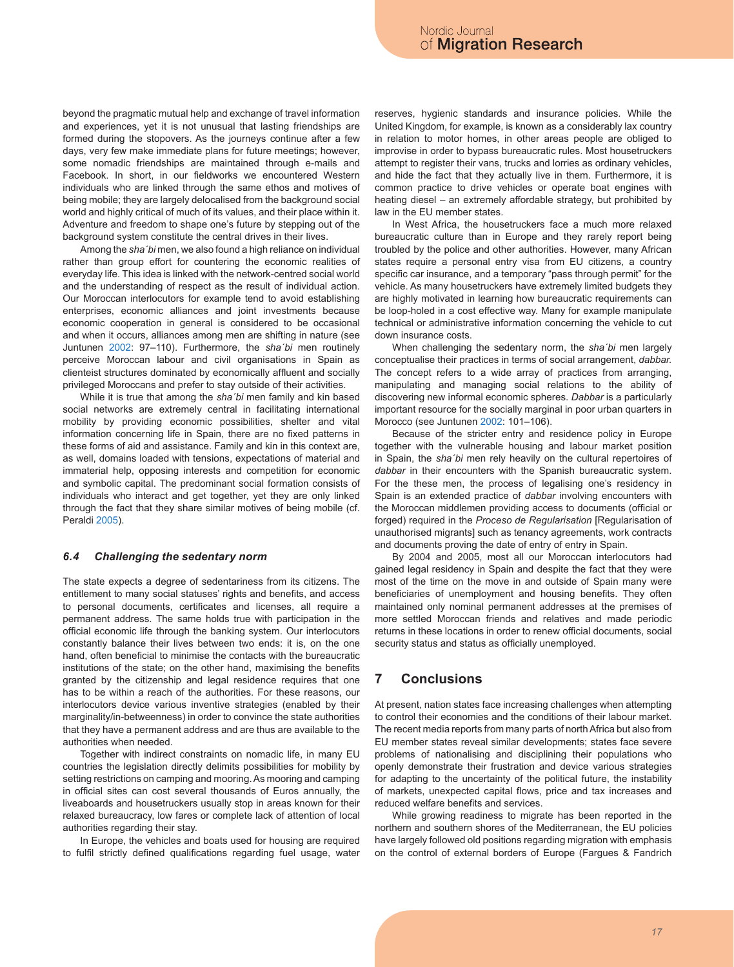beyond the pragmatic mutual help and exchange of travel information and experiences, yet it is not unusual that lasting friendships are formed during the stopovers. As the journeys continue after a few days, very few make immediate plans for future meetings; however, some nomadic friendships are maintained through e-mails and Facebook. In short, in our fieldworks we encountered Western individuals who are linked through the same ethos and motives of being mobile; they are largely delocalised from the background social world and highly critical of much of its values, and their place within it. Adventure and freedom to shape one's future by stepping out of the background system constitute the central drives in their lives.

Among the *sha´bi* men, we also found a high reliance on individual rather than group effort for countering the economic realities of everyday life. This idea is linked with the network-centred social world and the understanding of respect as the result of individual action. Our Moroccan interlocutors for example tend to avoid establishing enterprises, economic alliances and joint investments because economic cooperation in general is considered to be occasional and when it occurs, alliances among men are shifting in nature (see Juntunen 2002: 97–110). Furthermore, the *sha´bi* men routinely perceive Moroccan labour and civil organisations in Spain as clienteist structures dominated by economically affluent and socially privileged Moroccans and prefer to stay outside of their activities.

While it is true that among the *sha´bi* men family and kin based social networks are extremely central in facilitating international mobility by providing economic possibilities, shelter and vital information concerning life in Spain, there are no fixed patterns in these forms of aid and assistance. Family and kin in this context are, as well, domains loaded with tensions, expectations of material and immaterial help, opposing interests and competition for economic and symbolic capital. The predominant social formation consists of individuals who interact and get together, yet they are only linked through the fact that they share similar motives of being mobile (cf. Peraldi 2005).

### *6.4 Challenging the sedentary norm*

The state expects a degree of sedentariness from its citizens. The entitlement to many social statuses' rights and benefits, and access to personal documents, certificates and licenses, all require a permanent address. The same holds true with participation in the official economic life through the banking system. Our interlocutors constantly balance their lives between two ends: it is, on the one hand, often beneficial to minimise the contacts with the bureaucratic institutions of the state; on the other hand, maximising the benefits granted by the citizenship and legal residence requires that one has to be within a reach of the authorities. For these reasons, our interlocutors device various inventive strategies (enabled by their marginality/in-betweenness) in order to convince the state authorities that they have a permanent address and are thus are available to the authorities when needed.

Together with indirect constraints on nomadic life, in many EU countries the legislation directly delimits possibilities for mobility by setting restrictions on camping and mooring. As mooring and camping in official sites can cost several thousands of Euros annually, the liveaboards and housetruckers usually stop in areas known for their relaxed bureaucracy, low fares or complete lack of attention of local authorities regarding their stay.

In Europe, the vehicles and boats used for housing are required to fulfil strictly defined qualifications regarding fuel usage, water reserves, hygienic standards and insurance policies. While the United Kingdom, for example, is known as a considerably lax country in relation to motor homes, in other areas people are obliged to improvise in order to bypass bureaucratic rules. Most housetruckers attempt to register their vans, trucks and lorries as ordinary vehicles, and hide the fact that they actually live in them. Furthermore, it is common practice to drive vehicles or operate boat engines with heating diesel – an extremely affordable strategy, but prohibited by law in the EU member states.

In West Africa, the housetruckers face a much more relaxed bureaucratic culture than in Europe and they rarely report being troubled by the police and other authorities. However, many African states require a personal entry visa from EU citizens, a country specific car insurance, and a temporary "pass through permit" for the vehicle. As many housetruckers have extremely limited budgets they are highly motivated in learning how bureaucratic requirements can be loop-holed in a cost effective way. Many for example manipulate technical or administrative information concerning the vehicle to cut down insurance costs.

When challenging the sedentary norm, the *sha´bi* men largely conceptualise their practices in terms of social arrangement, *dabbar.*  The concept refers to a wide array of practices from arranging, manipulating and managing social relations to the ability of discovering new informal economic spheres. *Dabbar* is a particularly important resource for the socially marginal in poor urban quarters in Morocco (see Juntunen 2002: 101–106).

Because of the stricter entry and residence policy in Europe together with the vulnerable housing and labour market position in Spain, the *sha´bi* men rely heavily on the cultural repertoires of *dabbar* in their encounters with the Spanish bureaucratic system. For the these men, the process of legalising one's residency in Spain is an extended practice of *dabbar* involving encounters with the Moroccan middlemen providing access to documents (official or forged) required in the *Proceso de Regularisation* [Regularisation of unauthorised migrants] such as tenancy agreements, work contracts and documents proving the date of entry of entry in Spain.

By 2004 and 2005, most all our Moroccan interlocutors had gained legal residency in Spain and despite the fact that they were most of the time on the move in and outside of Spain many were beneficiaries of unemployment and housing benefits. They often maintained only nominal permanent addresses at the premises of more settled Moroccan friends and relatives and made periodic returns in these locations in order to renew official documents, social security status and status as officially unemployed.

# **7 Conclusions**

At present, nation states face increasing challenges when attempting to control their economies and the conditions of their labour market. The recent media reports from many parts of north Africa but also from EU member states reveal similar developments; states face severe problems of nationalising and disciplining their populations who openly demonstrate their frustration and device various strategies for adapting to the uncertainty of the political future, the instability of markets, unexpected capital flows, price and tax increases and reduced welfare benefits and services.

While growing readiness to migrate has been reported in the northern and southern shores of the Mediterranean, the EU policies have largely followed old positions regarding migration with emphasis on the control of external borders of Europe (Fargues & Fandrich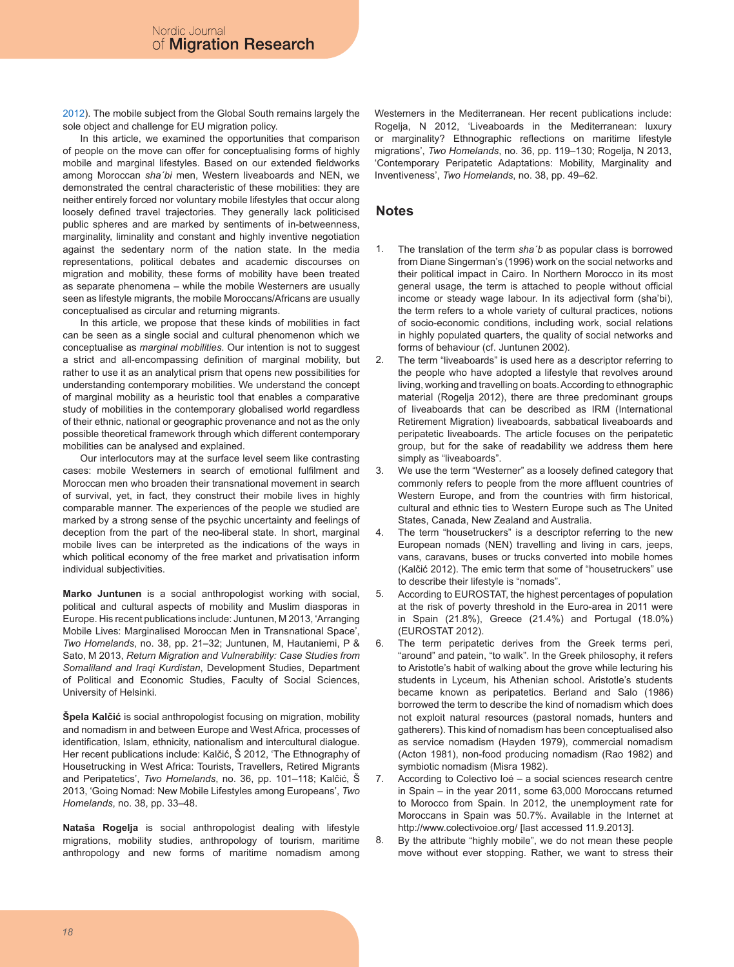2012). The mobile subject from the Global South remains largely the sole object and challenge for EU migration policy.

In this article, we examined the opportunities that comparison of people on the move can offer for conceptualising forms of highly mobile and marginal lifestyles. Based on our extended fieldworks among Moroccan *sha´bi* men, Western liveaboards and NEN, we demonstrated the central characteristic of these mobilities: they are neither entirely forced nor voluntary mobile lifestyles that occur along loosely defined travel trajectories. They generally lack politicised public spheres and are marked by sentiments of in-betweenness, marginality, liminality and constant and highly inventive negotiation against the sedentary norm of the nation state. In the media representations, political debates and academic discourses on migration and mobility, these forms of mobility have been treated as separate phenomena – while the mobile Westerners are usually seen as lifestyle migrants, the mobile Moroccans/Africans are usually conceptualised as circular and returning migrants.

In this article, we propose that these kinds of mobilities in fact can be seen as a single social and cultural phenomenon which we conceptualise as *marginal mobilities*. Our intention is not to suggest a strict and all-encompassing definition of marginal mobility, but rather to use it as an analytical prism that opens new possibilities for understanding contemporary mobilities. We understand the concept of marginal mobility as a heuristic tool that enables a comparative study of mobilities in the contemporary globalised world regardless of their ethnic, national or geographic provenance and not as the only possible theoretical framework through which different contemporary mobilities can be analysed and explained.

Our interlocutors may at the surface level seem like contrasting cases: mobile Westerners in search of emotional fulfilment and Moroccan men who broaden their transnational movement in search of survival, yet, in fact, they construct their mobile lives in highly comparable manner. The experiences of the people we studied are marked by a strong sense of the psychic uncertainty and feelings of deception from the part of the neo-liberal state. In short, marginal mobile lives can be interpreted as the indications of the ways in which political economy of the free market and privatisation inform individual subjectivities.

**Marko Juntunen** is a social anthropologist working with social, political and cultural aspects of mobility and Muslim diasporas in Europe. His recent publications include: Juntunen, M 2013, 'Arranging Mobile Lives: Marginalised Moroccan Men in Transnational Space', *Two Homelands*, no. 38, pp. 21–32; Juntunen, M, Hautaniemi, P & Sato, M 2013, *Return Migration and Vulnerability: Case Studies from Somaliland and Iraqi Kurdistan*, Development Studies, Department of Political and Economic Studies, Faculty of Social Sciences, University of Helsinki.

**Špela Kalčić** is social anthropologist focusing on migration, mobility and nomadism in and between Europe and West Africa, processes of identification, Islam, ethnicity, nationalism and intercultural dialogue. Her recent publications include: Kalčić, Š 2012, 'The Ethnography of Housetrucking in West Africa: Tourists, Travellers, Retired Migrants and Peripatetics', *Two Homelands*, no. 36, pp. 101–118; Kalčić, Š 2013, 'Going Nomad: New Mobile Lifestyles among Europeans', *Two Homelands*, no. 38, pp. 33–48.

**Nataša Rogelja** is social anthropologist dealing with lifestyle migrations, mobility studies, anthropology of tourism, maritime anthropology and new forms of maritime nomadism among Westerners in the Mediterranean. Her recent publications include: Rogelja, N 2012, 'Liveaboards in the Mediterranean: luxury or marginality? Ethnographic reflections on maritime lifestyle migrations', *Two Homelands*, no. 36, pp. 119–130; Rogelja, N 2013, 'Contemporary Peripatetic Adaptations: Mobility, Marginality and Inventiveness', *Two Homelands*, no. 38, pp. 49–62.

# **Notes**

- The translation of the term *sha´b* as popular class is borrowed from Diane Singerman's (1996) work on the social networks and their political impact in Cairo. In Northern Morocco in its most general usage, the term is attached to people without official income or steady wage labour. In its adjectival form (sha'bi), the term refers to a whole variety of cultural practices, notions of socio-economic conditions, including work, social relations in highly populated quarters, the quality of social networks and forms of behaviour (cf. Juntunen 2002). 1.
- The term "liveaboards" is used here as a descriptor referring to the people who have adopted a lifestyle that revolves around living, working and travelling on boats. According to ethnographic material (Rogelja 2012), there are three predominant groups of liveaboards that can be described as IRM (International Retirement Migration) liveaboards, sabbatical liveaboards and peripatetic liveaboards. The article focuses on the peripatetic group, but for the sake of readability we address them here simply as "liveaboards". 2.
- We use the term "Westerner" as a loosely defined category that commonly refers to people from the more affluent countries of Western Europe, and from the countries with firm historical, cultural and ethnic ties to Western Europe such as The United States, Canada, New Zealand and Australia. 3.
- The term "housetruckers" is a descriptor referring to the new European nomads (NEN) travelling and living in cars, jeeps, vans, caravans, buses or trucks converted into mobile homes (Kalčić 2012). The emic term that some of "housetruckers" use to describe their lifestyle is "nomads". 4.
- According to EUROSTAT, the highest percentages of population at the risk of poverty threshold in the Euro-area in 2011 were in Spain (21.8%), Greece (21.4%) and Portugal (18.0%) (EUROSTAT 2012). 5.
- The term peripatetic derives from the Greek terms peri, "around" and patein, "to walk". In the Greek philosophy, it refers to Aristotle's habit of walking about the grove while lecturing his students in Lyceum, his Athenian school. Aristotle's students became known as peripatetics. Berland and Salo (1986) borrowed the term to describe the kind of nomadism which does not exploit natural resources (pastoral nomads, hunters and gatherers). This kind of nomadism has been conceptualised also as service nomadism (Hayden 1979), commercial nomadism (Acton 1981), non-food producing nomadism (Rao 1982) and symbiotic nomadism (Misra 1982). 6.
- According to Colectivo Ioé a social sciences research centre in Spain – in the year 2011, some 63,000 Moroccans returned to Morocco from Spain. In 2012, the unemployment rate for Moroccans in Spain was 50.7%. Available in the Internet at http://www.colectivoioe.org/ [last accessed 11.9.2013]. 7.
- By the attribute "highly mobile", we do not mean these people move without ever stopping. Rather, we want to stress their 8.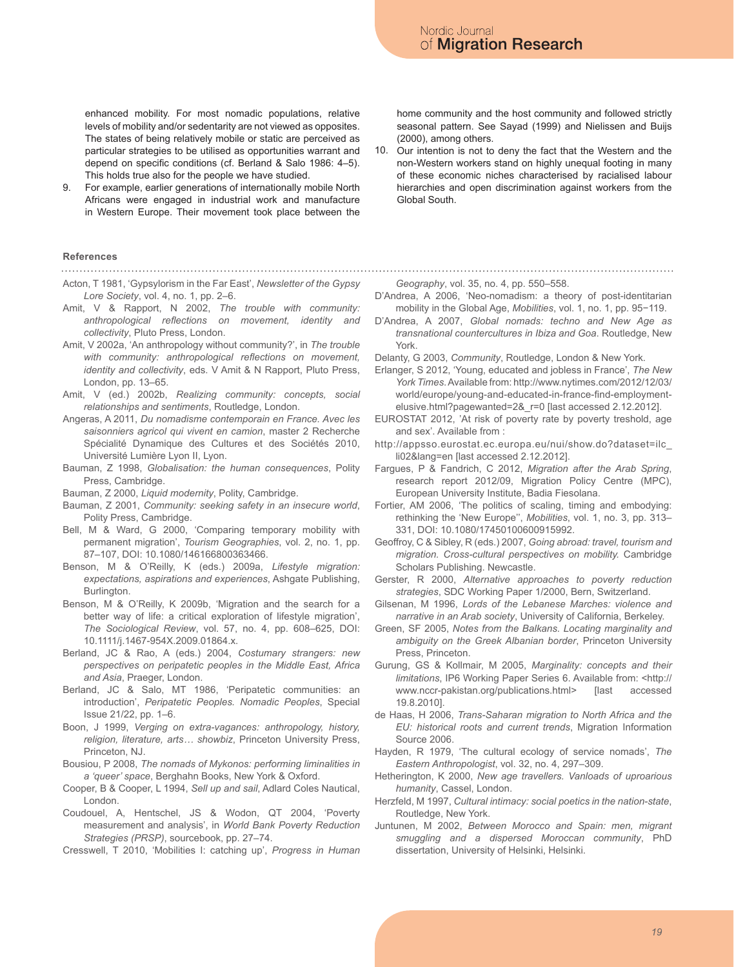enhanced mobility. For most nomadic populations, relative levels of mobility and/or sedentarity are not viewed as opposites. The states of being relatively mobile or static are perceived as particular strategies to be utilised as opportunities warrant and depend on specific conditions (cf. Berland & Salo 1986: 4–5). This holds true also for the people we have studied.

For example, earlier generations of internationally mobile North Africans were engaged in industrial work and manufacture in Western Europe. Their movement took place between the 9.

### **References**

Acton, T 1981, 'Gypsylorism in the Far East', *Newsletter of the Gypsy Lore Society*, vol. 4, no. 1, pp. 2–6.

- Amit, V & Rapport, N 2002, *The trouble with community: anthropological reflections on movement, identity and collectivity*, Pluto Press, London.
- Amit, V 2002a, 'An anthropology without community?', in *The trouble with community: anthropological reflections on movement, identity and collectivity*, eds. V Amit & N Rapport, Pluto Press, London, pp. 13–65.
- Amit, V (ed.) 2002b, *Realizing community: concepts, social relationships and sentiments*, Routledge, London.
- Angeras, A 2011, *Du nomadisme contemporain en France. Avec les saisonniers agricol qui vivent en camion*, master 2 Recherche Spécialité Dynamique des Cultures et des Sociétés 2010, Université Lumière Lyon II, Lyon.
- Bauman, Z 1998, *Globalisation: the human consequences*, Polity Press, Cambridge.
- Bauman, Z 2000, *Liquid modernity*, Polity, Cambridge.
- Bauman, Z 2001, *Community: seeking safety in an insecure world*, Polity Press, Cambridge.
- Bell, M & Ward, G 2000, 'Comparing temporary mobility with permanent migration', *Tourism Geographies*, vol. 2, no. 1, pp. 87–107, DOI: 10.1080/146166800363466.
- Benson, M & O'Reilly, K (eds.) 2009a, *Lifestyle migration: expectations, aspirations and experiences*, Ashgate Publishing, Burlington.
- Benson, M & O'Reilly, K 2009b, 'Migration and the search for a better way of life: a critical exploration of lifestyle migration', *The Sociological Review*, vol. 57, no. 4, pp. 608–625, DOI: 10.1111/j.1467-954X.2009.01864.x.
- Berland, JC & Rao, A (eds.) 2004, *Costumary strangers: new perspectives on peripatetic peoples in the Middle East, Africa and Asia*, Praeger, London.
- Berland, JC & Salo, MT 1986, 'Peripatetic communities: an introduction', *Peripatetic Peoples. Nomadic Peoples*, Special Issue 21/22, pp. 1–6.
- Boon, J 1999, *Verging on extra-vagances: anthropology, history, religion, literature, arts… showbiz*, Princeton University Press, Princeton, NJ.
- Bousiou, P 2008, *The nomads of Mykonos: performing liminalities in a 'queer' space*, Berghahn Books, New York & Oxford.
- Cooper, B & Cooper, L 1994, *Sell up and sail*, Adlard Coles Nautical, London.
- Coudouel, A, Hentschel, JS & Wodon, QT 2004, 'Poverty measurement and analysis', in *World Bank Poverty Reduction Strategies (PRSP)*, sourcebook, pp. 27–74.
- Cresswell, T 2010, 'Mobilities I: catching up', *Progress in Human*

home community and the host community and followed strictly seasonal pattern. See Sayad (1999) and Nielissen and Buijs (2000), among others.

Our intention is not to deny the fact that the Western and the non-Western workers stand on highly unequal footing in many of these economic niches characterised by racialised labour hierarchies and open discrimination against workers from the Global South. 10.

*Geography*, vol. 35, no. 4, pp. 550–558.

- D'Andrea, A 2006, 'Neo-nomadism: a theory of post-identitarian mobility in the Global Age, *Mobilities*, vol. 1, no. 1, pp. 95−119.
- D'Andrea, A 2007, *Global nomads: techno and New Age as transnational countercultures in Ibiza and Goa*. Routledge, New York.
- Delanty, G 2003, *Community*, Routledge, London & New York.
- Erlanger, S 2012, 'Young, educated and jobless in France', *The New York Times*. Available from: http://www.nytimes.com/2012/12/03/ world/europe/young-and-educated-in-france-find-employmentelusive.html?pagewanted=2&\_r=0 [last accessed 2.12.2012].
- EUROSTAT 2012, 'At risk of poverty rate by poverty treshold, age and sex'. Available from :
- http://appsso.eurostat.ec.europa.eu/nui/show.do?dataset=ilc\_ li02&lang=en [last accessed 2.12.2012].
- Fargues, P & Fandrich, C 2012, *Migration after the Arab Spring*, research report 2012/09, Migration Policy Centre (MPC), European University Institute, Badia Fiesolana.
- Fortier, AM 2006, 'The politics of scaling, timing and embodying: rethinking the 'New Europe'', *Mobilities*, vol. 1, no. 3, pp. 313– 331, DOI: 10.1080/17450100600915992.
- Geoffroy, C & Sibley, R (eds.) 2007, *Going abroad: travel, tourism and migration. Cross-cultural perspectives on mobility.* Cambridge Scholars Publishing. Newcastle.
- Gerster, R 2000, *Alternative approaches to poverty reduction strategies*, SDC Working Paper 1/2000, Bern, Switzerland.
- Gilsenan, M 1996, *Lords of the Lebanese Marches: violence and narrative in an Arab society*, University of California, Berkeley.
- Green, SF 2005, *Notes from the Balkans. Locating marginality and ambiguity on the Greek Albanian border*, Princeton University Press, Princeton.
- Gurung, GS & Kollmair, M 2005, *Marginality: concepts and their limitations*, IP6 Working Paper Series 6. Available from: <http:// www.nccr-pakistan.org/publications.html> [last accessed 19.8.2010].
- de Haas, H 2006, *Trans-Saharan migration to North Africa and the EU: historical roots and current trends*, Migration Information Source 2006.
- Hayden, R 1979, 'The cultural ecology of service nomads', *The Eastern Anthropologist*, vol. 32, no. 4, 297–309.
- Hetherington, K 2000, *New age travellers. Vanloads of uproarious humanity*, Cassel, London.
- Herzfeld, M 1997, *Cultural intimacy: social poetics in the nation-state*, Routledge, New York.
- Juntunen, M 2002, *Between Morocco and Spain: men, migrant smuggling and a dispersed Moroccan community*, PhD dissertation, University of Helsinki, Helsinki.